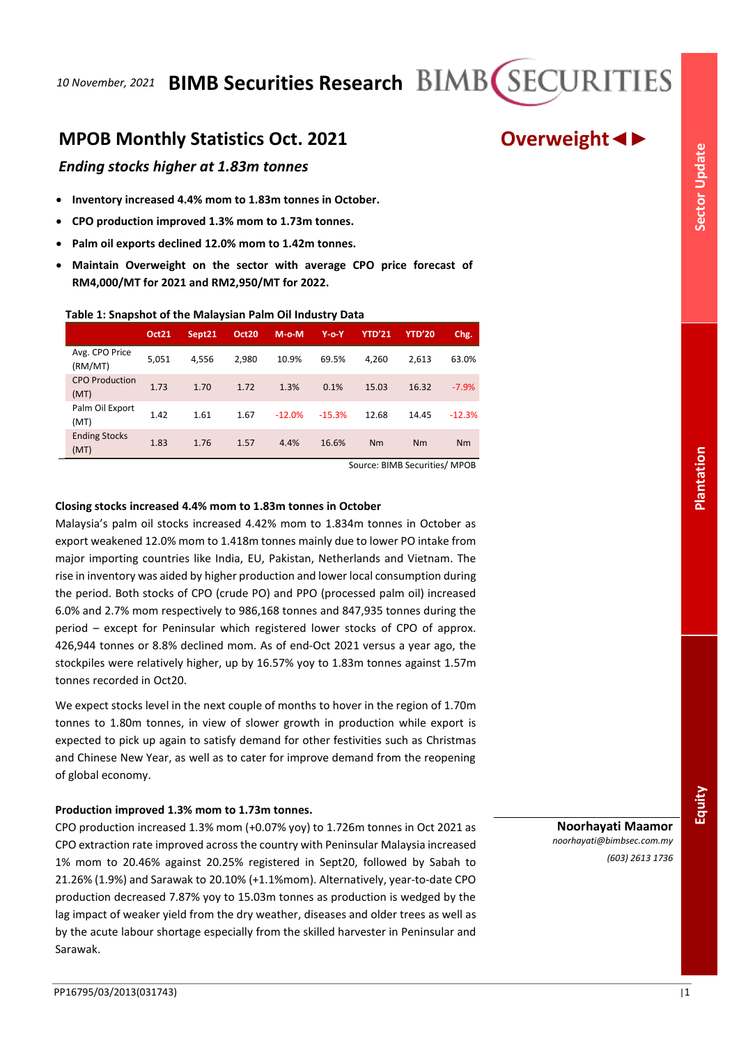# **MPOB Monthly Statistics Oct. 2021 Overweight◄►**

## *Ending stocks higher at 1.83m tonnes*

- **Inventory increased 4.4% mom to 1.83m tonnes in October.**
- **CPO production improved 1.3% mom to 1.73m tonnes.**
- **Palm oil exports declined 12.0% mom to 1.42m tonnes.**
- **Maintain Overweight on the sector with average CPO price forecast of RM4,000/MT for 2021 and RM2,950/MT for 2022.**

## **Table 1: Snapshot of the Malaysian Palm Oil Industry Data**

|                               | Oct21 | Sept21 | Oct20 | $M-o-M$  | $Y$ -0- $Y$ | <b>YTD'21</b> | <b>YTD'20</b> | Chg.     |
|-------------------------------|-------|--------|-------|----------|-------------|---------------|---------------|----------|
| Avg. CPO Price<br>(RM/MT)     | 5,051 | 4,556  | 2,980 | 10.9%    | 69.5%       | 4.260         | 2.613         | 63.0%    |
| <b>CPO Production</b><br>(MT) | 1.73  | 1.70   | 1.72  | 1.3%     | 0.1%        | 15.03         | 16.32         | $-7.9%$  |
| Palm Oil Export<br>(MT)       | 1.42  | 1.61   | 1.67  | $-12.0%$ | $-15.3%$    | 12.68         | 14.45         | $-12.3%$ |
| <b>Ending Stocks</b><br>(MT)  | 1.83  | 1.76   | 1.57  | 4.4%     | 16.6%       | Nm            | Nm            | Nm       |

Source: BIMB Securities/ MPOB

## **Closing stocks increased 4.4% mom to 1.83m tonnes in October**

Malaysia's palm oil stocks increased 4.42% mom to 1.834m tonnes in October as export weakened 12.0% mom to 1.418m tonnes mainly due to lower PO intake from major importing countries like India, EU, Pakistan, Netherlands and Vietnam. The rise in inventory was aided by higher production and lower local consumption during the period. Both stocks of CPO (crude PO) and PPO (processed palm oil) increased 6.0% and 2.7% mom respectively to 986,168 tonnes and 847,935 tonnes during the period – except for Peninsular which registered lower stocks of CPO of approx. 426,944 tonnes or 8.8% declined mom. As of end-Oct 2021 versus a year ago, the stockpiles were relatively higher, up by 16.57% yoy to 1.83m tonnes against 1.57m tonnes recorded in Oct20.

We expect stocks level in the next couple of months to hover in the region of 1.70m tonnes to 1.80m tonnes, in view of slower growth in production while export is expected to pick up again to satisfy demand for other festivities such as Christmas and Chinese New Year, as well as to cater for improve demand from the reopening of global economy.

## **Production improved 1.3% mom to 1.73m tonnes.**

CPO production increased 1.3% mom (+0.07% yoy) to 1.726m tonnes in Oct 2021 as CPO extraction rate improved across the country with Peninsular Malaysia increased 1% mom to 20.46% against 20.25% registered in Sept20, followed by Sabah to 21.26% (1.9%) and Sarawak to 20.10% (+1.1%mom). Alternatively, year-to-date CPO production decreased 7.87% yoy to 15.03m tonnes as production is wedged by the lag impact of weaker yield from the dry weather, diseases and older trees as well as by the acute labour shortage especially from the skilled harvester in Peninsular and Sarawak.

**Noorhayati Maamor** *noorhayati@bimbsec.com.my (603) 2613 1736* Equity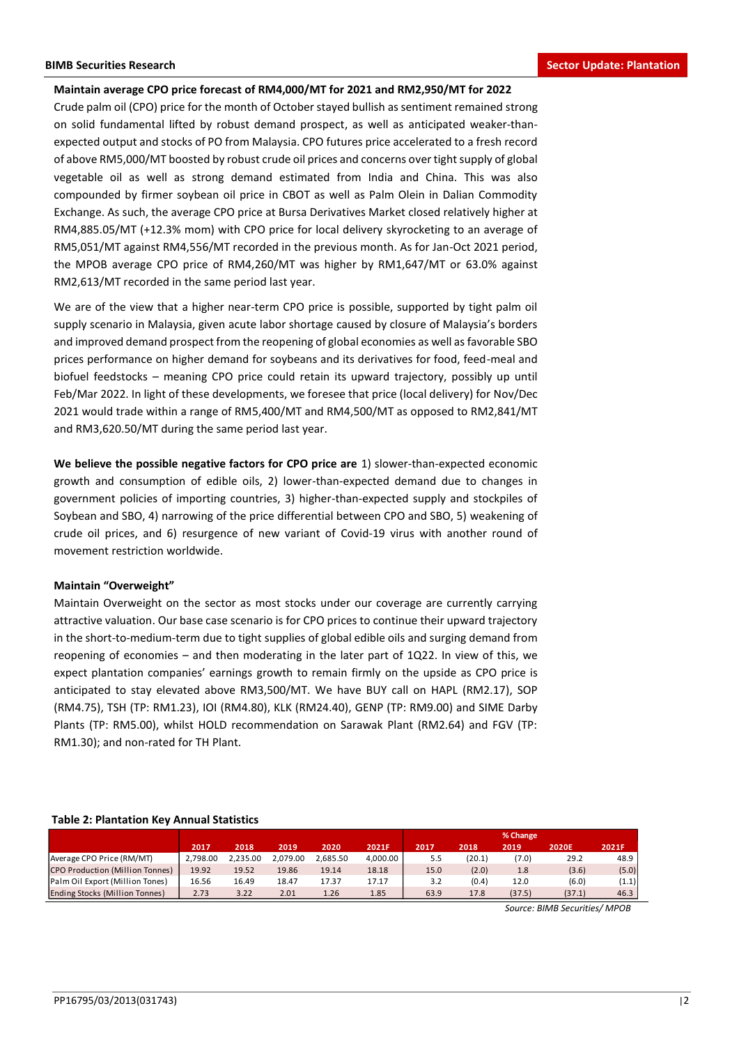## **Maintain average CPO price forecast of RM4,000/MT for 2021 and RM2,950/MT for 2022**

Crude palm oil (CPO) price for the month of October stayed bullish as sentiment remained strong on solid fundamental lifted by robust demand prospect, as well as anticipated weaker-thanexpected output and stocks of PO from Malaysia. CPO futures price accelerated to a fresh record of above RM5,000/MT boosted by robust crude oil prices and concerns over tight supply of global vegetable oil as well as strong demand estimated from India and China. This was also compounded by firmer soybean oil price in CBOT as well as Palm Olein in Dalian Commodity Exchange. As such, the average CPO price at Bursa Derivatives Market closed relatively higher at RM4,885.05/MT (+12.3% mom) with CPO price for local delivery skyrocketing to an average of RM5,051/MT against RM4,556/MT recorded in the previous month. As for Jan-Oct 2021 period, the MPOB average CPO price of RM4,260/MT was higher by RM1,647/MT or 63.0% against RM2,613/MT recorded in the same period last year.

We are of the view that a higher near-term CPO price is possible, supported by tight palm oil supply scenario in Malaysia, given acute labor shortage caused by closure of Malaysia's borders and improved demand prospect from the reopening of global economies as well as favorable SBO prices performance on higher demand for soybeans and its derivatives for food, feed-meal and biofuel feedstocks – meaning CPO price could retain its upward trajectory, possibly up until Feb/Mar 2022. In light of these developments, we foresee that price (local delivery) for Nov/Dec 2021 would trade within a range of RM5,400/MT and RM4,500/MT as opposed to RM2,841/MT and RM3,620.50/MT during the same period last year.

**We believe the possible negative factors for CPO price are** 1) slower-than-expected economic growth and consumption of edible oils, 2) lower-than-expected demand due to changes in government policies of importing countries, 3) higher-than-expected supply and stockpiles of Soybean and SBO, 4) narrowing of the price differential between CPO and SBO, 5) weakening of crude oil prices, and 6) resurgence of new variant of Covid-19 virus with another round of movement restriction worldwide.

## **Maintain "Overweight"**

Maintain Overweight on the sector as most stocks under our coverage are currently carrying attractive valuation. Our base case scenario is for CPO prices to continue their upward trajectory in the short-to-medium-term due to tight supplies of global edible oils and surging demand from reopening of economies – and then moderating in the later part of 1Q22. In view of this, we expect plantation companies' earnings growth to remain firmly on the upside as CPO price is anticipated to stay elevated above RM3,500/MT. We have BUY call on HAPL (RM2.17), SOP (RM4.75), TSH (TP: RM1.23), IOI (RM4.80), KLK (RM24.40), GENP (TP: RM9.00) and SIME Darby Plants (TP: RM5.00), whilst HOLD recommendation on Sarawak Plant (RM2.64) and FGV (TP: RM1.30); and non-rated for TH Plant.

## **Table 2: Plantation Key Annual Statistics**

|                                       |          |          |          |          |          |      |        | % Change |              |       |
|---------------------------------------|----------|----------|----------|----------|----------|------|--------|----------|--------------|-------|
|                                       | 2017     | 2018     | 2019     | 2020     | 2021F    | 2017 | 2018   | 2019     | <b>2020E</b> | 2021F |
| Average CPO Price (RM/MT)             | 2.798.00 | 2.235.00 | 2.079.00 | 2.685.50 | 4.000.00 | 5.5  | (20.1) | (7.0)    | 29.2         | 48.9  |
| CPO Production (Million Tonnes)       | 19.92    | 19.52    | 19.86    | 19.14    | 18.18    | 15.0 | (2.0)  | 1.8      | (3.6)        | (5.0) |
| Palm Oil Export (Million Tones)       | 16.56    | 16.49    | 18.47    | 17.37    | 17.17    | 3.2  | (0.4)  | 12.0     | (6.0)        | (1.1) |
| <b>Ending Stocks (Million Tonnes)</b> | 2.73     | 3.22     | 2.01     | 1.26     | 1.85     | 63.9 | 17.8   | (37.5)   | (37.1)       | 46.3  |

*Source: BIMB Securities/ MPOB*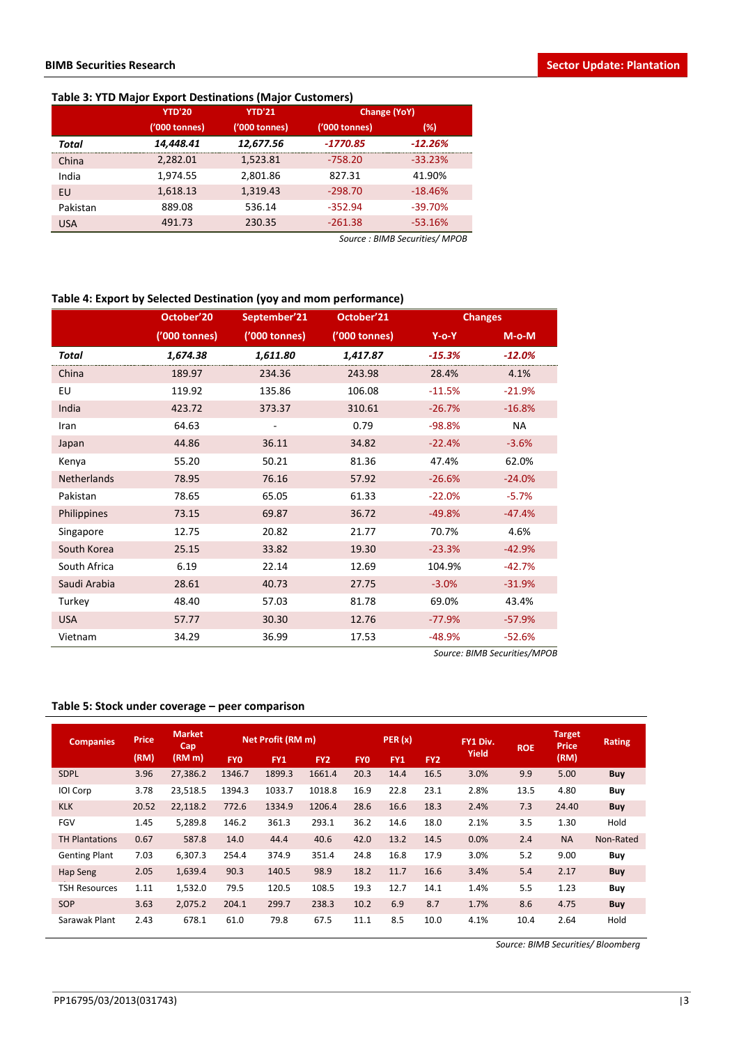## **Table 3: YTD Major Export Destinations (Major Customers)**

|            | <b>YTD'20</b> | <b>YTD'21</b> | Change (YoY)  |           |  |  |
|------------|---------------|---------------|---------------|-----------|--|--|
|            | ('000 tonnes) | ('000 tonnes) | ('000 tonnes) | (%)       |  |  |
| Total      | 14,448.41     | 12,677.56     | $-1770.85$    | $-12.26%$ |  |  |
| China      | 2,282.01      | 1,523.81      | $-758.20$     | $-33.23%$ |  |  |
| India      | 1,974.55      | 2,801.86      | 827.31        | 41.90%    |  |  |
| EU         | 1,618.13      | 1,319.43      | $-298.70$     | $-18.46%$ |  |  |
| Pakistan   | 889.08        | 536.14        | $-352.94$     | $-39.70%$ |  |  |
| <b>USA</b> | 491.73        | 230.35        | $-261.38$     | $-53.16%$ |  |  |
|            |               |               |               |           |  |  |

*Source : BIMB Securities/ MPOB*

## **Table 4: Export by Selected Destination (yoy and mom performance)**

|                    | October'20    | September'21  | October'21    |          | <b>Changes</b> |
|--------------------|---------------|---------------|---------------|----------|----------------|
|                    | ('000 tonnes) | ('000 tonnes) | ('000 tonnes) | $Y$ -o-Y | $M$ -o- $M$    |
| Total              | 1,674.38      | 1,611.80      | 1,417.87      | $-15.3%$ | $-12.0%$       |
| China              | 189.97        | 234.36        | 243.98        | 28.4%    | 4.1%           |
| EU                 | 119.92        | 135.86        | 106.08        | $-11.5%$ | $-21.9%$       |
| India              | 423.72        | 373.37        | 310.61        | $-26.7%$ | $-16.8%$       |
| Iran               | 64.63         | -             | 0.79          | $-98.8%$ | NA.            |
| Japan              | 44.86         | 36.11         | 34.82         | $-22.4%$ | $-3.6%$        |
| Kenya              | 55.20         | 50.21         | 81.36         | 47.4%    | 62.0%          |
| <b>Netherlands</b> | 78.95         | 76.16         | 57.92         | $-26.6%$ | $-24.0%$       |
| Pakistan           | 78.65         | 65.05         | 61.33         | $-22.0%$ | $-5.7%$        |
| Philippines        | 73.15         | 69.87         | 36.72         | $-49.8%$ | $-47.4%$       |
| Singapore          | 12.75         | 20.82         | 21.77         | 70.7%    | 4.6%           |
| South Korea        | 25.15         | 33.82         | 19.30         | $-23.3%$ | $-42.9%$       |
| South Africa       | 6.19          | 22.14         | 12.69         | 104.9%   | $-42.7%$       |
| Saudi Arabia       | 28.61         | 40.73         | 27.75         | $-3.0%$  | $-31.9%$       |
| Turkey             | 48.40         | 57.03         | 81.78         | 69.0%    | 43.4%          |
| <b>USA</b>         | 57.77         | 30.30         | 12.76         | $-77.9%$ | $-57.9%$       |
| Vietnam            | 34.29         | 36.99         | 17.53         | $-48.9%$ | $-52.6%$       |

*Source: BIMB Securities/MPOB*

## **Table 5: Stock under coverage – peer comparison**

| <b>Companies</b>      | <b>Price</b> | <b>Market</b><br>Cap |            | Net Profit (RM m) |                 |            | PER(x)     |                 | FY1 Div. | <b>ROE</b> | Target<br><b>Price</b> | Rating     |
|-----------------------|--------------|----------------------|------------|-------------------|-----------------|------------|------------|-----------------|----------|------------|------------------------|------------|
|                       | (RM)         | (RM <sub>m</sub> )   | <b>FYO</b> | FY1               | FY <sub>2</sub> | <b>FYO</b> | <b>FY1</b> | FY <sub>2</sub> | Yield    |            | (RM)                   |            |
| <b>SDPL</b>           | 3.96         | 27,386.2             | 1346.7     | 1899.3            | 1661.4          | 20.3       | 14.4       | 16.5            | 3.0%     | 9.9        | 5.00                   | <b>Buy</b> |
| IOI Corp              | 3.78         | 23,518.5             | 1394.3     | 1033.7            | 1018.8          | 16.9       | 22.8       | 23.1            | 2.8%     | 13.5       | 4.80                   | Buy        |
| <b>KLK</b>            | 20.52        | 22,118.2             | 772.6      | 1334.9            | 1206.4          | 28.6       | 16.6       | 18.3            | 2.4%     | 7.3        | 24.40                  | Buy        |
| <b>FGV</b>            | 1.45         | 5,289.8              | 146.2      | 361.3             | 293.1           | 36.2       | 14.6       | 18.0            | 2.1%     | 3.5        | 1.30                   | Hold       |
| <b>TH Plantations</b> | 0.67         | 587.8                | 14.0       | 44.4              | 40.6            | 42.0       | 13.2       | 14.5            | 0.0%     | 2.4        | <b>NA</b>              | Non-Rated  |
| <b>Genting Plant</b>  | 7.03         | 6,307.3              | 254.4      | 374.9             | 351.4           | 24.8       | 16.8       | 17.9            | 3.0%     | 5.2        | 9.00                   | Buy        |
| Hap Seng              | 2.05         | 1,639.4              | 90.3       | 140.5             | 98.9            | 18.2       | 11.7       | 16.6            | 3.4%     | 5.4        | 2.17                   | <b>Buy</b> |
| <b>TSH Resources</b>  | 1.11         | 1,532.0              | 79.5       | 120.5             | 108.5           | 19.3       | 12.7       | 14.1            | 1.4%     | 5.5        | 1.23                   | Buy        |
| SOP                   | 3.63         | 2,075.2              | 204.1      | 299.7             | 238.3           | 10.2       | 6.9        | 8.7             | 1.7%     | 8.6        | 4.75                   | Buy        |
| Sarawak Plant         | 2.43         | 678.1                | 61.0       | 79.8              | 67.5            | 11.1       | 8.5        | 10.0            | 4.1%     | 10.4       | 2.64                   | Hold       |

*Source: BIMB Securities/ Bloomberg*